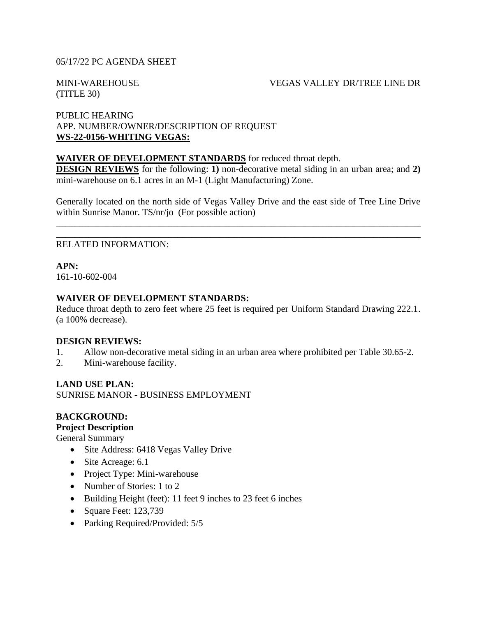## 05/17/22 PC AGENDA SHEET

(TITLE 30)

#### MINI-WAREHOUSE VEGAS VALLEY DR/TREE LINE DR

## PUBLIC HEARING APP. NUMBER/OWNER/DESCRIPTION OF REQUEST **WS-22-0156-WHITING VEGAS:**

## **WAIVER OF DEVELOPMENT STANDARDS** for reduced throat depth.

**DESIGN REVIEWS** for the following: **1**) non-decorative metal siding in an urban area; and **2**) mini-warehouse on 6.1 acres in an M-1 (Light Manufacturing) Zone.

Generally located on the north side of Vegas Valley Drive and the east side of Tree Line Drive within Sunrise Manor. TS/nr/jo (For possible action)

\_\_\_\_\_\_\_\_\_\_\_\_\_\_\_\_\_\_\_\_\_\_\_\_\_\_\_\_\_\_\_\_\_\_\_\_\_\_\_\_\_\_\_\_\_\_\_\_\_\_\_\_\_\_\_\_\_\_\_\_\_\_\_\_\_\_\_\_\_\_\_\_\_\_\_\_\_\_ \_\_\_\_\_\_\_\_\_\_\_\_\_\_\_\_\_\_\_\_\_\_\_\_\_\_\_\_\_\_\_\_\_\_\_\_\_\_\_\_\_\_\_\_\_\_\_\_\_\_\_\_\_\_\_\_\_\_\_\_\_\_\_\_\_\_\_\_\_\_\_\_\_\_\_\_\_\_

### RELATED INFORMATION:

**APN:**

161-10-602-004

### **WAIVER OF DEVELOPMENT STANDARDS:**

Reduce throat depth to zero feet where 25 feet is required per Uniform Standard Drawing 222.1. (a 100% decrease).

### **DESIGN REVIEWS:**

- 1. Allow non-decorative metal siding in an urban area where prohibited per Table 30.65-2.
- 2. Mini-warehouse facility.

### **LAND USE PLAN:**

SUNRISE MANOR - BUSINESS EMPLOYMENT

## **BACKGROUND:**

#### **Project Description**

General Summary

- Site Address: 6418 Vegas Valley Drive
- Site Acreage: 6.1
- Project Type: Mini-warehouse
- Number of Stories: 1 to 2
- Building Height (feet): 11 feet 9 inches to 23 feet 6 inches
- Square Feet: 123,739
- Parking Required/Provided: 5/5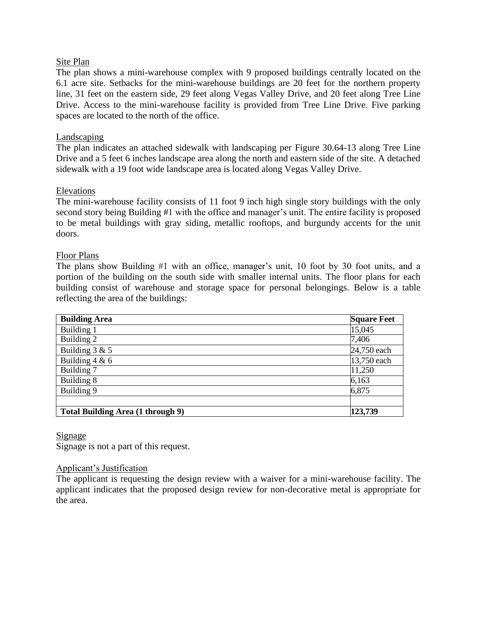## Site Plan

The plan shows a mini-warehouse complex with 9 proposed buildings centrally located on the 6.1 acre site. Setbacks for the mini-warehouse buildings are 20 feet for the northern property line, 31 feet on the eastern side, 29 feet along Vegas Valley Drive, and 20 feet along Tree Line Drive. Access to the mini-warehouse facility is provided from Tree Line Drive. Five parking spaces are located to the north of the office.

## **Landscaping**

The plan indicates an attached sidewalk with landscaping per Figure 30.64-13 along Tree Line Drive and a 5 feet 6 inches landscape area along the north and eastern side of the site. A detached sidewalk with a 19 foot wide landscape area is located along Vegas Valley Drive.

## Elevations

The mini-warehouse facility consists of 11 foot 9 inch high single story buildings with the only second story being Building #1 with the office and manager's unit. The entire facility is proposed to be metal buildings with gray siding, metallic rooftops, and burgundy accents for the unit doors.

### Floor Plans

The plans show Building #1 with an office, manager's unit, 10 foot by 30 foot units, and a portion of the building on the south side with smaller internal units. The floor plans for each building consist of warehouse and storage space for personal belongings. Below is a table reflecting the area of the buildings:

| <b>Building Area</b>                     | <b>Square Feet</b> |
|------------------------------------------|--------------------|
| Building 1                               | 15,045             |
| Building 2                               | 7,406              |
| Building $3 & 5$                         | 24,750 each        |
| Building $4 & 6$                         | 13,750 each        |
| Building 7                               | 11,250             |
| Building 8                               | 6,163              |
| Building 9                               | 6,875              |
|                                          |                    |
| <b>Total Building Area (1 through 9)</b> | 123,739            |

### Signage

Signage is not a part of this request.

### Applicant's Justification

The applicant is requesting the design review with a waiver for a mini-warehouse facility. The applicant indicates that the proposed design review for non-decorative metal is appropriate for the area.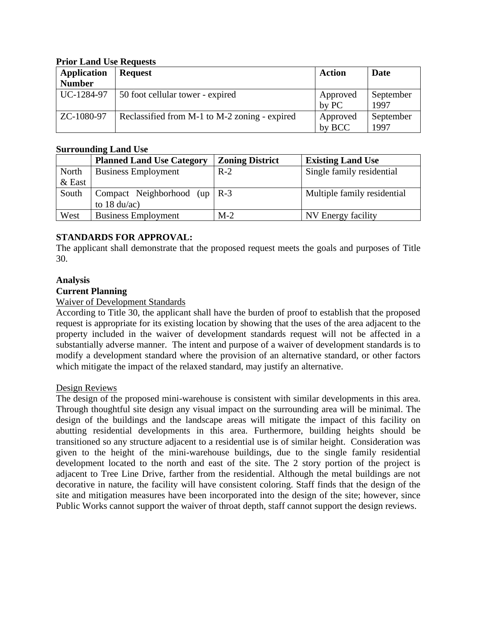#### **Prior Land Use Requests**

| <b>Application</b><br><b>Number</b> | <b>Request</b>                                | <b>Action</b>      | Date              |
|-------------------------------------|-----------------------------------------------|--------------------|-------------------|
| UC-1284-97                          | 50 foot cellular tower - expired              | Approved<br>by PC  | September<br>1997 |
| ZC-1080-97                          | Reclassified from M-1 to M-2 zoning - expired | Approved<br>by BCC | September<br>1997 |

### **Surrounding Land Use**

|          | <b>Planned Land Use Category</b> | <b>Zoning District</b> | <b>Existing Land Use</b>    |
|----------|----------------------------------|------------------------|-----------------------------|
| North    | <b>Business Employment</b>       | $R-2$                  | Single family residential   |
| $&$ East |                                  |                        |                             |
| South    | Compact Neighborhood (up   R-3   |                        | Multiple family residential |
|          | to $18 \text{ du/ac}$            |                        |                             |
| West     | <b>Business Employment</b>       | $M-2$                  | NV Energy facility          |

## **STANDARDS FOR APPROVAL:**

The applicant shall demonstrate that the proposed request meets the goals and purposes of Title 30.

### **Analysis**

## **Current Planning**

#### Waiver of Development Standards

According to Title 30, the applicant shall have the burden of proof to establish that the proposed request is appropriate for its existing location by showing that the uses of the area adjacent to the property included in the waiver of development standards request will not be affected in a substantially adverse manner. The intent and purpose of a waiver of development standards is to modify a development standard where the provision of an alternative standard, or other factors which mitigate the impact of the relaxed standard, may justify an alternative.

### Design Reviews

The design of the proposed mini-warehouse is consistent with similar developments in this area. Through thoughtful site design any visual impact on the surrounding area will be minimal. The design of the buildings and the landscape areas will mitigate the impact of this facility on abutting residential developments in this area. Furthermore, building heights should be transitioned so any structure adjacent to a residential use is of similar height. Consideration was given to the height of the mini-warehouse buildings, due to the single family residential development located to the north and east of the site. The 2 story portion of the project is adjacent to Tree Line Drive, farther from the residential. Although the metal buildings are not decorative in nature, the facility will have consistent coloring. Staff finds that the design of the site and mitigation measures have been incorporated into the design of the site; however, since Public Works cannot support the waiver of throat depth, staff cannot support the design reviews.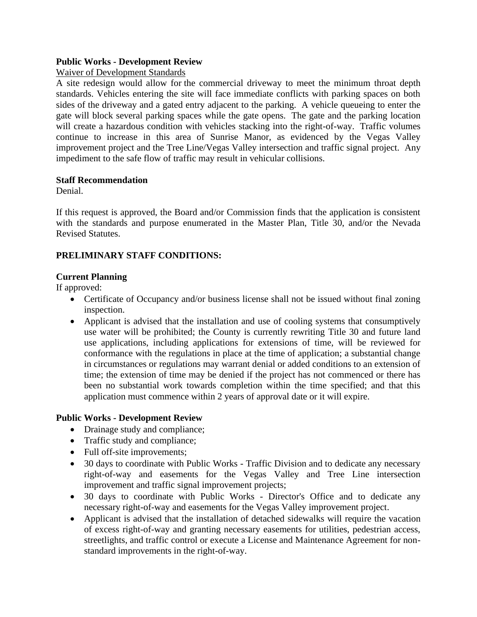## **Public Works - Development Review**

## Waiver of Development Standards

A site redesign would allow for the commercial driveway to meet the minimum throat depth standards. Vehicles entering the site will face immediate conflicts with parking spaces on both sides of the driveway and a gated entry adjacent to the parking. A vehicle queueing to enter the gate will block several parking spaces while the gate opens. The gate and the parking location will create a hazardous condition with vehicles stacking into the right-of-way. Traffic volumes continue to increase in this area of Sunrise Manor, as evidenced by the Vegas Valley improvement project and the Tree Line/Vegas Valley intersection and traffic signal project. Any impediment to the safe flow of traffic may result in vehicular collisions.

### **Staff Recommendation**

Denial.

If this request is approved, the Board and/or Commission finds that the application is consistent with the standards and purpose enumerated in the Master Plan, Title 30, and/or the Nevada Revised Statutes.

# **PRELIMINARY STAFF CONDITIONS:**

# **Current Planning**

If approved:

- Certificate of Occupancy and/or business license shall not be issued without final zoning inspection.
- Applicant is advised that the installation and use of cooling systems that consumptively use water will be prohibited; the County is currently rewriting Title 30 and future land use applications, including applications for extensions of time, will be reviewed for conformance with the regulations in place at the time of application; a substantial change in circumstances or regulations may warrant denial or added conditions to an extension of time; the extension of time may be denied if the project has not commenced or there has been no substantial work towards completion within the time specified; and that this application must commence within 2 years of approval date or it will expire.

# **Public Works - Development Review**

- Drainage study and compliance;
- Traffic study and compliance;
- Full off-site improvements;
- 30 days to coordinate with Public Works Traffic Division and to dedicate any necessary right-of-way and easements for the Vegas Valley and Tree Line intersection improvement and traffic signal improvement projects;
- 30 days to coordinate with Public Works Director's Office and to dedicate any necessary right-of-way and easements for the Vegas Valley improvement project.
- Applicant is advised that the installation of detached sidewalks will require the vacation of excess right-of-way and granting necessary easements for utilities, pedestrian access, streetlights, and traffic control or execute a License and Maintenance Agreement for nonstandard improvements in the right-of-way.